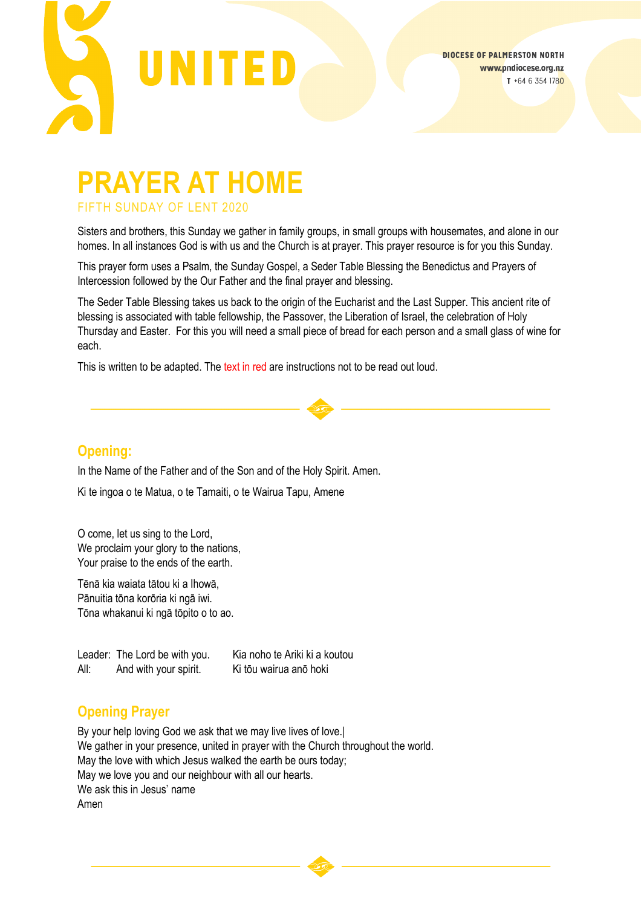

# **PRAYER AT HOME** FIFTH SUNDAY OF LENT 2020

Sisters and brothers, this Sunday we gather in family groups, in small groups with housemates, and alone in our homes. In all instances God is with us and the Church is at prayer. This prayer resource is for you this Sunday.

This prayer form uses a Psalm, the Sunday Gospel, a Seder Table Blessing the Benedictus and Prayers of Intercession followed by the Our Father and the final prayer and blessing.

The Seder Table Blessing takes us back to the origin of the Eucharist and the Last Supper. This ancient rite of blessing is associated with table fellowship, the Passover, the Liberation of Israel, the celebration of Holy Thursday and Easter. For this you will need a small piece of bread for each person and a small glass of wine for each.

This is written to be adapted. The text in red are instructions not to be read out loud.

### **Opening:**

In the Name of the Father and of the Son and of the Holy Spirit. Amen.

Ki te ingoa o te Matua, o te Tamaiti, o te Wairua Tapu, Amene

O come, let us sing to the Lord, We proclaim your glory to the nations, Your praise to the ends of the earth.

Tēnā kia waiata tātou ki a Ihowā, Pānuitia tōna korōria ki ngā iwi. Tōna whakanui ki ngā tōpito o to ao.

Leader: The Lord be with you. Kia noho te Ariki ki a koutou All: And with your spirit. Ki tōu wairua anō hoki

## **Opening Prayer**

By your help loving God we ask that we may live lives of love.| We gather in your presence, united in prayer with the Church throughout the world. May the love with which Jesus walked the earth be ours today; May we love you and our neighbour with all our hearts. We ask this in Jesus' name Amen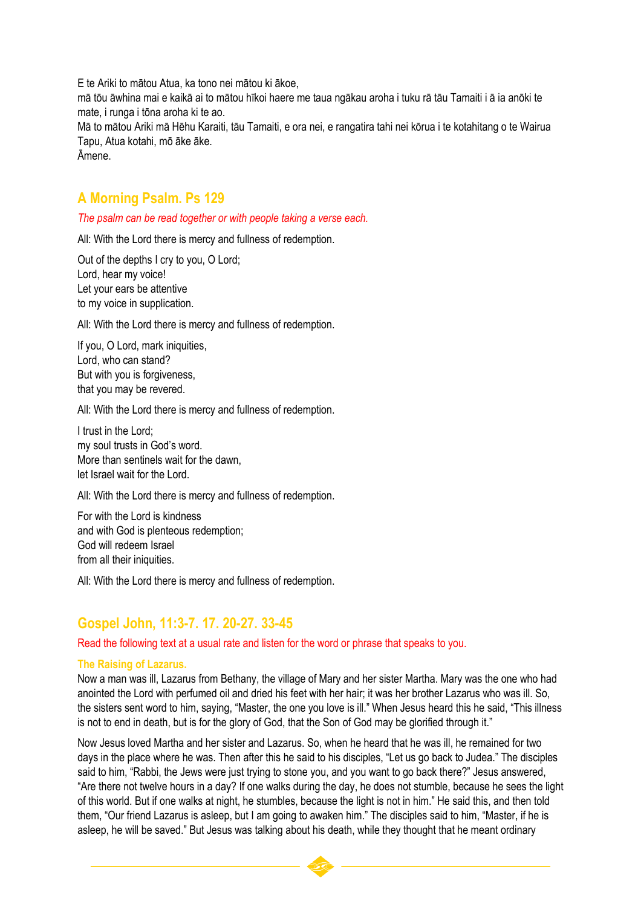E te Ariki to mātou Atua, ka tono nei mātou ki ākoe,

mā tōu āwhina mai e kaikā ai to mātou hīkoi haere me taua ngākau aroha i tuku rā tāu Tamaiti i ā ia anōki te mate, i runga i tōna aroha ki te ao.

Mā to mātou Ariki mā Hēhu Karaiti, tāu Tamaiti, e ora nei, e rangatira tahi nei kōrua i te kotahitang o te Wairua Tapu, Atua kotahi, mō āke āke.

Āmene.

# **A Morning Psalm. Ps 129**

*The psalm can be read together or with people taking a verse each.*

All: With the Lord there is mercy and fullness of redemption.

Out of the depths I cry to you, O Lord; Lord, hear my voice! Let your ears be attentive to my voice in supplication.

All: With the Lord there is mercy and fullness of redemption.

If you, O Lord, mark iniquities, Lord, who can stand? But with you is forgiveness, that you may be revered.

All: With the Lord there is mercy and fullness of redemption.

I trust in the Lord; my soul trusts in God's word. More than sentinels wait for the dawn, let Israel wait for the Lord.

All: With the Lord there is mercy and fullness of redemption.

For with the Lord is kindness and with God is plenteous redemption; God will redeem Israel from all their iniquities.

All: With the Lord there is mercy and fullness of redemption.

### **Gospel John, 11:3-7. 17. 20-27. 33-45**

Read the following text at a usual rate and listen for the word or phrase that speaks to you.

#### **The Raising of Lazarus.**

Now a man was ill, Lazarus from Bethany, the village of Mary and her sister Martha. Mary was the one who had anointed the Lord with perfumed oil and dried his feet with her hair; it was her brother Lazarus who was ill. So, the sisters sent word to him, saying, "Master, the one you love is ill." When Jesus heard this he said, "This illness is not to end in death, but is for the glory of God, that the Son of God may be glorified through it."

Now Jesus loved Martha and her sister and Lazarus. So, when he heard that he was ill, he remained for two days in the place where he was. Then after this he said to his disciples, "Let us go back to Judea." The disciples said to him, "Rabbi, the Jews were just trying to stone you, and you want to go back there?" Jesus answered, "Are there not twelve hours in a day? If one walks during the day, he does not stumble, because he sees the light of this world. But if one walks at night, he stumbles, because the light is not in him." He said this, and then told them, "Our friend Lazarus is asleep, but I am going to awaken him." The disciples said to him, "Master, if he is asleep, he will be saved." But Jesus was talking about his death, while they thought that he meant ordinary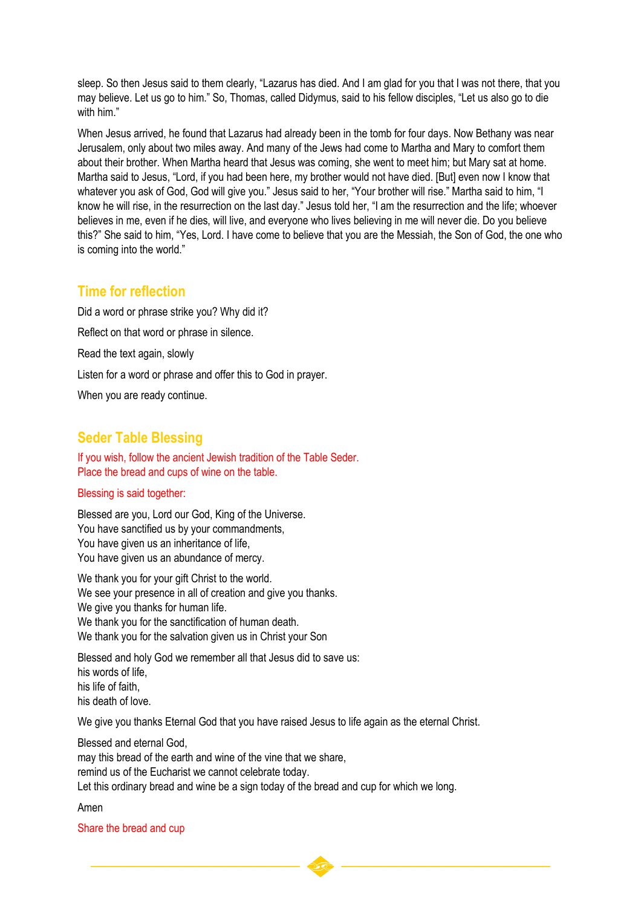sleep. So then Jesus said to them clearly, "Lazarus has died. And I am glad for you that I was not there, that you may believe. Let us go to him." So, Thomas, called Didymus, said to his fellow disciples, "Let us also go to die with him."

When Jesus arrived, he found that Lazarus had already been in the tomb for four days. Now Bethany was near Jerusalem, only about two miles away. And many of the Jews had come to Martha and Mary to comfort them about their brother. When Martha heard that Jesus was coming, she went to meet him; but Mary sat at home. Martha said to Jesus, "Lord, if you had been here, my brother would not have died. [But] even now I know that whatever you ask of God, God will give you." Jesus said to her, "Your brother will rise." Martha said to him, "I know he will rise, in the resurrection on the last day." Jesus told her, "I am the resurrection and the life; whoever believes in me, even if he dies, will live, and everyone who lives believing in me will never die. Do you believe this?" She said to him, "Yes, Lord. I have come to believe that you are the Messiah, the Son of God, the one who is coming into the world."

### **Time for reflection**

Did a word or phrase strike you? Why did it? Reflect on that word or phrase in silence. Read the text again, slowly Listen for a word or phrase and offer this to God in prayer. When you are ready continue.

## **Seder Table Blessing**

If you wish, follow the ancient Jewish tradition of the Table Seder. Place the bread and cups of wine on the table.

#### Blessing is said together:

Blessed are you, Lord our God, King of the Universe. You have sanctified us by your commandments, You have given us an inheritance of life, You have given us an abundance of mercy.

We thank you for your gift Christ to the world. We see your presence in all of creation and give you thanks. We give you thanks for human life. We thank you for the sanctification of human death. We thank you for the salvation given us in Christ your Son

Blessed and holy God we remember all that Jesus did to save us: his words of life, his life of faith, his death of love.

We give you thanks Eternal God that you have raised Jesus to life again as the eternal Christ.

Blessed and eternal God, may this bread of the earth and wine of the vine that we share, remind us of the Eucharist we cannot celebrate today. Let this ordinary bread and wine be a sign today of the bread and cup for which we long.

Amen

#### Share the bread and cup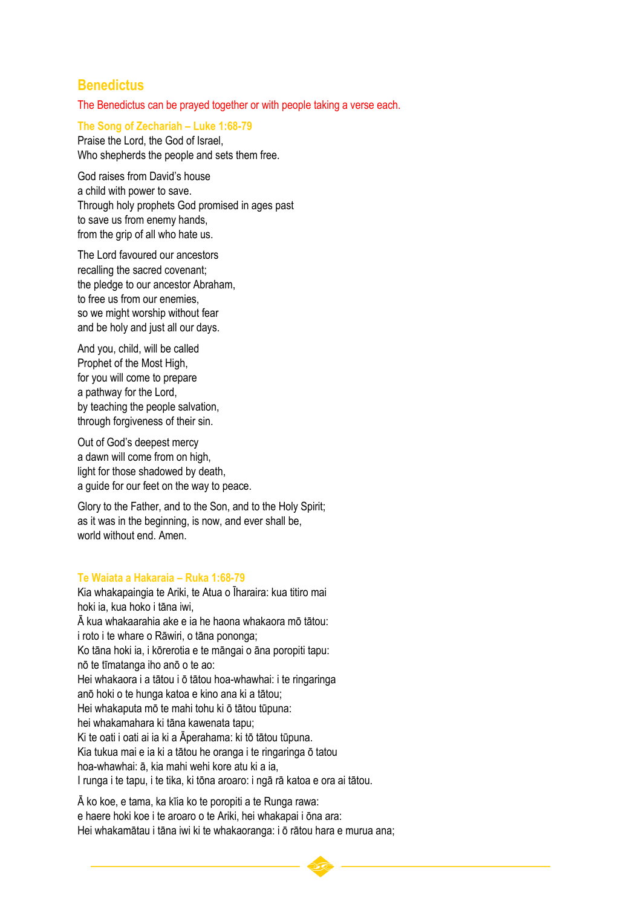### **Benedictus**

The Benedictus can be prayed together or with people taking a verse each.

#### **The Song of Zechariah – Luke 1:68-79**

Praise the Lord, the God of Israel, Who shepherds the people and sets them free.

God raises from David's house a child with power to save. Through holy prophets God promised in ages past to save us from enemy hands, from the grip of all who hate us.

The Lord favoured our ancestors recalling the sacred covenant; the pledge to our ancestor Abraham, to free us from our enemies, so we might worship without fear and be holy and just all our days.

And you, child, will be called Prophet of the Most High, for you will come to prepare a pathway for the Lord, by teaching the people salvation, through forgiveness of their sin.

Out of God's deepest mercy a dawn will come from on high, light for those shadowed by death, a guide for our feet on the way to peace.

Glory to the Father, and to the Son, and to the Holy Spirit; as it was in the beginning, is now, and ever shall be, world without end. Amen.

#### **Te Waiata a Hakaraia – Ruka 1:68-79**

Kia whakapaingia te Ariki, te Atua o Īharaira: kua titiro mai hoki ia, kua hoko i tāna iwi, Ā kua whakaarahia ake e ia he haona whakaora mō tātou: i roto i te whare o Rāwiri, o tāna pononga; Ko tāna hoki ia, i kōrerotia e te māngai o āna poropiti tapu: nō te tīmatanga iho anō o te ao: Hei whakaora i a tātou i ō tātou hoa-whawhai: i te ringaringa anō hoki o te hunga katoa e kino ana ki a tātou; Hei whakaputa mō te mahi tohu ki ō tātou tūpuna: hei whakamahara ki tāna kawenata tapu; Ki te oati i oati ai ia ki a Āperahama: ki tō tātou tūpuna. Kia tukua mai e ia ki a tātou he oranga i te ringaringa ō tatou hoa-whawhai: ā, kia mahi wehi kore atu ki a ia, I runga i te tapu, i te tika, ki tōna aroaro: i ngā rā katoa e ora ai tātou.

Ā ko koe, e tama, ka kīia ko te poropiti a te Runga rawa: e haere hoki koe i te aroaro o te Ariki, hei whakapai i ōna ara: Hei whakamātau i tāna iwi ki te whakaoranga: i ō rātou hara e murua ana;

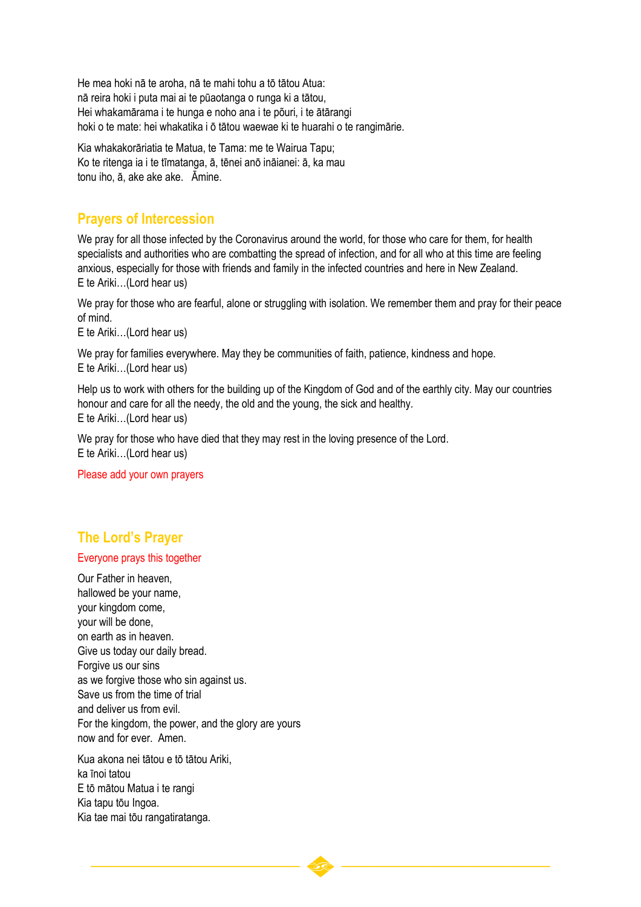He mea hoki nā te aroha, nā te mahi tohu a tō tātou Atua: nā reira hoki i puta mai ai te pūaotanga o runga ki a tātou, Hei whakamārama i te hunga e noho ana i te põuri, i te ātārangi hoki o te mate: hei whakatika i ō tātou waewae ki te huarahi o te rangimārie.

Kia whakakorāriatia te Matua, te Tama: me te Wairua Tapu; Ko te ritenga ia i te tīmatanga, ā, tēnei anō ināianei: ā, ka mau tonu iho, ā, ake ake ake. Āmine.

### **Prayers of Intercession**

We pray for all those infected by the Coronavirus around the world, for those who care for them, for health specialists and authorities who are combatting the spread of infection, and for all who at this time are feeling anxious, especially for those with friends and family in the infected countries and here in New Zealand. E te Ariki…(Lord hear us)

We pray for those who are fearful, alone or struggling with isolation. We remember them and pray for their peace of mind.

E te Ariki…(Lord hear us)

We pray for families everywhere. May they be communities of faith, patience, kindness and hope. E te Ariki…(Lord hear us)

Help us to work with others for the building up of the Kingdom of God and of the earthly city. May our countries honour and care for all the needy, the old and the young, the sick and healthy. E te Ariki…(Lord hear us)

We pray for those who have died that they may rest in the loving presence of the Lord. E te Ariki…(Lord hear us)

Please add your own prayers

# **The Lord's Prayer**

#### Everyone prays this together

Our Father in heaven, hallowed be your name, your kingdom come, your will be done, on earth as in heaven. Give us today our daily bread. Forgive us our sins as we forgive those who sin against us. Save us from the time of trial and deliver us from evil. For the kingdom, the power, and the glory are yours now and for ever. Amen.

Kua akona nei tātou e tō tātou Ariki, ka īnoi tatou E tō mātou Matua i te rangi Kia tapu tōu Ingoa. Kia tae mai tōu rangatiratanga.